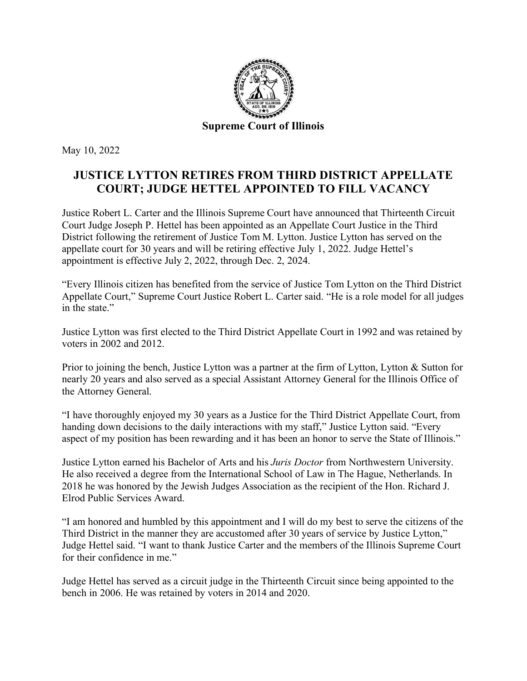

May 10, 2022

## **JUSTICE LYTTON RETIRES FROM THIRD DISTRICT APPELLATE COURT; JUDGE HETTEL APPOINTED TO FILL VACANCY**

Justice Robert L. Carter and the Illinois Supreme Court have announced that Thirteenth Circuit Court Judge Joseph P. Hettel has been appointed as an Appellate Court Justice in the Third District following the retirement of Justice Tom M. Lytton. Justice Lytton has served on the appellate court for 30 years and will be retiring effective July 1, 2022. Judge Hettel's appointment is effective July 2, 2022, through Dec. 2, 2024.

"Every Illinois citizen has benefited from the service of Justice Tom Lytton on the Third District Appellate Court," Supreme Court Justice Robert L. Carter said. "He is a role model for all judges in the state."

Justice Lytton was first elected to the Third District Appellate Court in 1992 and was retained by voters in 2002 and 2012.

Prior to joining the bench, Justice Lytton was a partner at the firm of Lytton, Lytton & Sutton for nearly 20 years and also served as a special Assistant Attorney General for the Illinois Office of the Attorney General.

"I have thoroughly enjoyed my 30 years as a Justice for the Third District Appellate Court, from handing down decisions to the daily interactions with my staff," Justice Lytton said. "Every aspect of my position has been rewarding and it has been an honor to serve the State of Illinois."

Justice Lytton earned his Bachelor of Arts and his *Juris Doctor* from Northwestern University. He also received a degree from the International School of Law in The Hague, Netherlands. In 2018 he was honored by the Jewish Judges Association as the recipient of the Hon. Richard J. Elrod Public Services Award.

"I am honored and humbled by this appointment and I will do my best to serve the citizens of the Third District in the manner they are accustomed after 30 years of service by Justice Lytton," Judge Hettel said. "I want to thank Justice Carter and the members of the Illinois Supreme Court for their confidence in me."

Judge Hettel has served as a circuit judge in the Thirteenth Circuit since being appointed to the bench in 2006. He was retained by voters in 2014 and 2020.